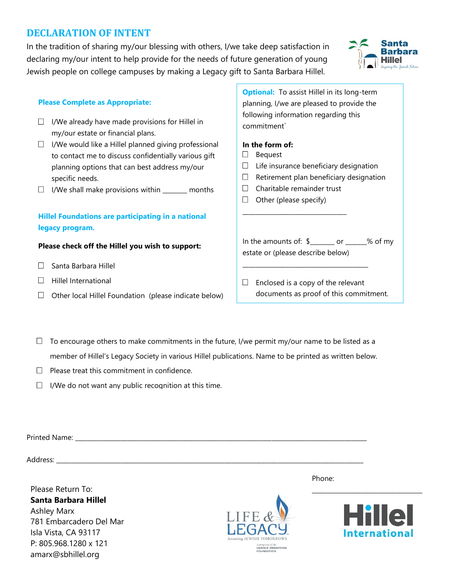# **DECLARATION OF INTENT**

In the tradition of sharing my/our blessing with others, I/we take deep satisfaction in declaring my/our intent to help provide for the needs of future generation of young Jewish people on college campuses by making a Legacy gift to Santa Barbara Hillel.

## **Please Complete as Appropriate:**

- $\Box$  I/We already have made provisions for Hillel in my/our estate or financial plans.
- $\Box$  I/We would like a Hillel planned giving professional to contact me to discuss confidentially various gift planning options that can best address my/our specific needs.
- $\Box$  I/We shall make provisions within  $\_\_\_\_\_\_\_\$ months

## **Hillel Foundations are participating in a national legacy program.**

#### **Please check off the Hillel you wish to support:**

- $\Box$  Santa Barbara Hillel
- $\Box$  Hillel International
- $\Box$  Other local Hillel Foundation (please indicate below)

**Optional:** To assist Hillel in its long-term planning, I/we are pleased to provide the following information regarding this commitment`

## **In the form of:**

- $\Box$ Bequest
- $\Box$ Life insurance beneficiary designation
- $\Box$ Retirement plan beneficiary designation
- Charitable remainder trust  $\Box$

\_\_\_\_\_\_\_\_\_\_\_\_\_\_\_\_\_\_\_\_\_\_\_\_\_\_\_\_\_\_\_\_\_\_

 $\Box$  Other (please specify)

In the amounts of: \$\_\_\_\_\_\_\_\_ or \_\_\_\_\_\_\_% of my estate or (please describe below)

## $\Box$  Enclosed is a copy of the relevant documents as proof of this commitment.

\_\_\_\_\_\_\_\_\_\_\_\_\_\_\_\_\_\_\_\_\_\_\_\_\_\_\_\_\_\_\_\_\_\_\_\_\_\_\_\_\_

- $\Box$ To encourage others to make commitments in the future, I/we permit my/our name to be listed as a member of Hillel's Legacy Society in various Hillel publications. Name to be printed as written below.
- $\Box$ Please treat this commitment in confidence.
- $\Box$  I/We do not want any public recognition at this time.

|                      |                               | Phone:           |
|----------------------|-------------------------------|------------------|
| Please Return To:    |                               |                  |
| Santa Barbara Hillel |                               |                  |
| Achley Mary          | more than the company company | <u> 1011 - 1</u> |

Ashley Marx 781 Embarcadero Del Mar Isla Vista, CA 93117 P: 805.968.1280 x 121 amarx@sbhillel.org